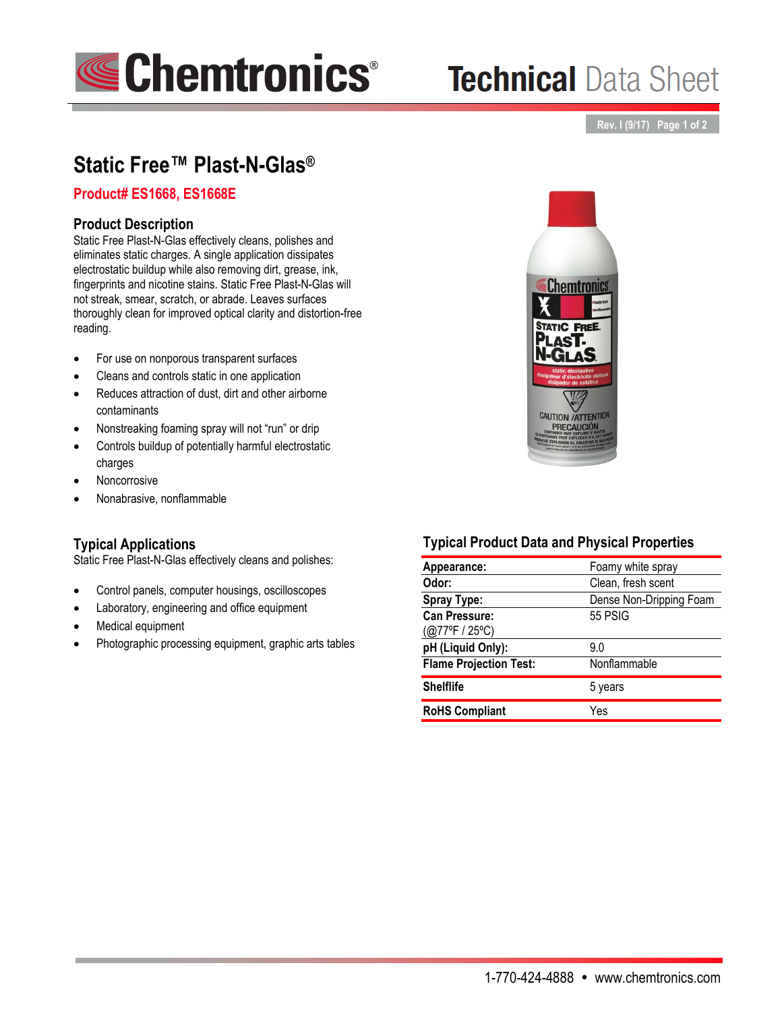

# **Technical Data Sheet**

### **Rev. I (9/17) Page 1 of 2**

# **Static Free™ Plast-N-Glas®**

## **Product# ES1668, ES1668E**

## **Product Description**

Static Free Plast-N-Glas effectively cleans, polishes and eliminates static charges. A single application dissipates electrostatic buildup while also removing dirt, grease, ink, fingerprints and nicotine stains. Static Free Plast-N-Glas will not streak, smear, scratch, or abrade. Leaves surfaces thoroughly clean for improved optical clarity and distortion-free reading.

- For use on nonporous transparent surfaces
- Cleans and controls static in one application
- Reduces attraction of dust, dirt and other airborne contaminants
- Nonstreaking foaming spray will not "run" or drip
- Controls buildup of potentially harmful electrostatic charges
- Noncorrosive
- Nonabrasive, nonflammable

### **Typical Applications**

Static Free Plast-N-Glas effectively cleans and polishes:

- Control panels, computer housings, oscilloscopes
- Laboratory, engineering and office equipment
- Medical equipment
- Photographic processing equipment, graphic arts tables



# **Typical Product Data and Physical Properties**

| Appearance:                    | Foamy white spray       |
|--------------------------------|-------------------------|
| Odor:                          | Clean, fresh scent      |
| <b>Spray Type:</b>             | Dense Non-Dripping Foam |
| <b>Can Pressure:</b>           | 55 PSIG                 |
| $(Q77^{\circ}F / 25^{\circ}C)$ |                         |
| pH (Liquid Only):              | 9.0                     |
| <b>Flame Projection Test:</b>  | Nonflammable            |
| <b>Shelflife</b>               | 5 years                 |
| <b>RoHS Compliant</b>          | Yes                     |